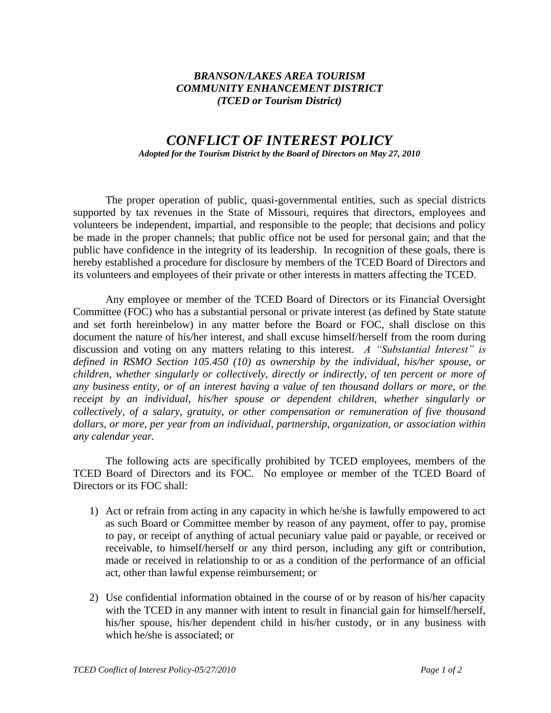## *BRANSON/LAKES AREA TOURISM COMMUNITY ENHANCEMENT DISTRICT (TCED or Tourism District)*

## *CONFLICT OF INTEREST POLICY Adopted for the Tourism District by the Board of Directors on May 27, 2010*

The proper operation of public, quasi-governmental entities, such as special districts supported by tax revenues in the State of Missouri, requires that directors, employees and volunteers be independent, impartial, and responsible to the people; that decisions and policy be made in the proper channels; that public office not be used for personal gain; and that the public have confidence in the integrity of its leadership. In recognition of these goals, there is hereby established a procedure for disclosure by members of the TCED Board of Directors and its volunteers and employees of their private or other interests in matters affecting the TCED.

Any employee or member of the TCED Board of Directors or its Financial Oversight Committee (FOC) who has a substantial personal or private interest (as defined by State statute and set forth hereinbelow) in any matter before the Board or FOC, shall disclose on this document the nature of his/her interest, and shall excuse himself/herself from the room during discussion and voting on any matters relating to this interest. *A "Substantial Interest" is defined in RSMO Section 105.450 (10) as ownership by the individual, his/her spouse, or children, whether singularly or collectively, directly or indirectly, of ten percent or more of any business entity, or of an interest having a value of ten thousand dollars or more, or the receipt by an individual, his/her spouse or dependent children, whether singularly or collectively, of a salary, gratuity, or other compensation or remuneration of five thousand dollars, or more, per year from an individual, partnership, organization, or association within any calendar year.* 

The following acts are specifically prohibited by TCED employees, members of the TCED Board of Directors and its FOC. No employee or member of the TCED Board of Directors or its FOC shall:

- 1) Act or refrain from acting in any capacity in which he/she is lawfully empowered to act as such Board or Committee member by reason of any payment, offer to pay, promise to pay, or receipt of anything of actual pecuniary value paid or payable, or received or receivable, to himself/herself or any third person, including any gift or contribution, made or received in relationship to or as a condition of the performance of an official act, other than lawful expense reimbursement; or
- 2) Use confidential information obtained in the course of or by reason of his/her capacity with the TCED in any manner with intent to result in financial gain for himself/herself, his/her spouse, his/her dependent child in his/her custody, or in any business with which he/she is associated; or